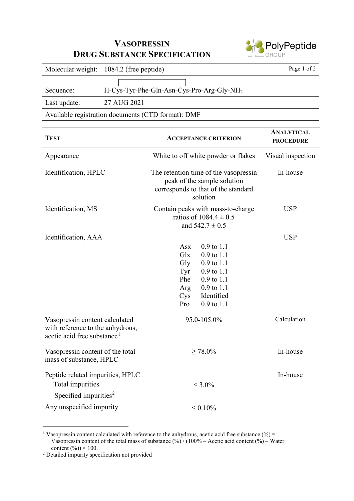| <b>VASOPRESSIN</b><br><b>DRUG SUBSTANCE SPECIFICATION</b> |                                             | , PolyPeptide │<br><sub>.</sub> GROUP |  |  |
|-----------------------------------------------------------|---------------------------------------------|---------------------------------------|--|--|
| Molecular weight:                                         | $1084.2$ (free peptide)                     | Page 1 of 2                           |  |  |
| Sequence:                                                 | $H-Cys-Tyr-Phe-Gln-Asn-Cys-Pro-Arg-Gly-NH2$ |                                       |  |  |
| Last update:                                              | 27 AUG 2021                                 |                                       |  |  |
| Available registration documents (CTD format): DMF        |                                             |                                       |  |  |

 $\overline{\phantom{a}}$ 

| <b>TEST</b>                                                                                                   | <b>ACCEPTANCE CRITERION</b>                                                                                                                                                                                                             | <b>ANALYTICAL</b><br><b>PROCEDURE</b> |
|---------------------------------------------------------------------------------------------------------------|-----------------------------------------------------------------------------------------------------------------------------------------------------------------------------------------------------------------------------------------|---------------------------------------|
| Appearance                                                                                                    | White to off white powder or flakes                                                                                                                                                                                                     | Visual inspection                     |
| Identification, HPLC                                                                                          | The retention time of the vasopressin<br>peak of the sample solution<br>corresponds to that of the standard<br>solution                                                                                                                 | In-house                              |
| Identification, MS                                                                                            | Contain peaks with mass-to-charge<br>ratios of $1084.4 \pm 0.5$<br>and $542.7 \pm 0.5$                                                                                                                                                  | <b>USP</b>                            |
| Identification, AAA                                                                                           |                                                                                                                                                                                                                                         | <b>USP</b>                            |
| Vasopressin content calculated<br>with reference to the anhydrous,<br>acetic acid free substance <sup>1</sup> | $0.9$ to $1.1$<br>Asx<br>Glx<br>$0.9$ to $1.1$<br>Gly<br>$0.9 \text{ to } 1.1$<br>$0.9 \text{ to } 1.1$<br>Tyr<br>Phe<br>$0.9 \text{ to } 1.1$<br>$0.9 \text{ to } 1.1$<br>Arg<br>Identified<br>Cys<br>Pro<br>0.9 to 1.1<br>95.0-105.0% | Calculation                           |
| Vasopressin content of the total<br>mass of substance, HPLC                                                   | $\geq 78.0\%$                                                                                                                                                                                                                           | In-house                              |
| Peptide related impurities, HPLC<br>Total impurities<br>Specified impurities <sup>2</sup>                     | $\leq 3.0\%$                                                                                                                                                                                                                            | In-house                              |
| Any unspecified impurity                                                                                      | $\leq 0.10\%$                                                                                                                                                                                                                           |                                       |

<span id="page-0-0"></span><sup>&</sup>lt;sup>1</sup> Vasopressin content calculated with reference to the anhydrous, acetic acid free substance  $(\%)$  = Vasopressin content of the total mass of substance (%) / (100% – Acetic acid content (%) – Water content  $(\%)$   $\times$  100.

Г

<span id="page-0-1"></span><sup>&</sup>lt;sup>2</sup> Detailed impurity specification not provided